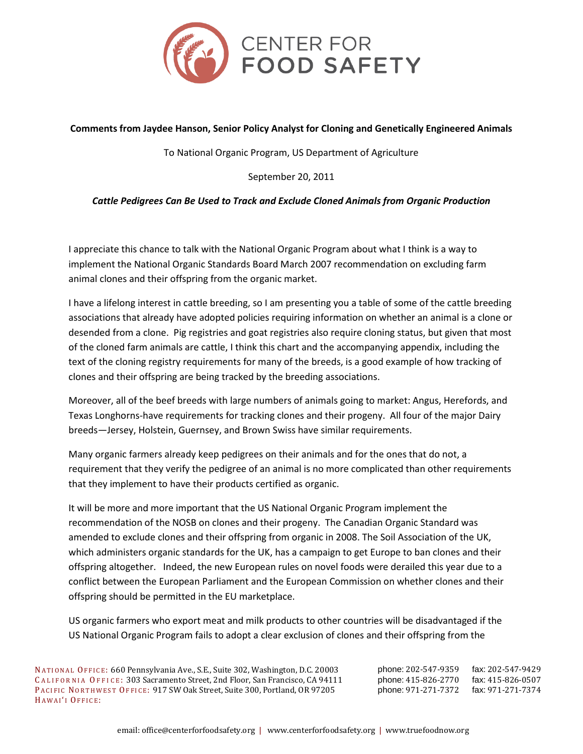

#### **Comments from Jaydee Hanson, Senior Policy Analyst for Cloning and Genetically Engineered Animals**

To National Organic Program, US Department of Agriculture

September 20, 2011

#### *Cattle Pedigrees Can Be Used to Track and Exclude Cloned Animals from Organic Production*

I appreciate this chance to talk with the National Organic Program about what I think is a way to implement the National Organic Standards Board March 2007 recommendation on excluding farm animal clones and their offspring from the organic market.

I have a lifelong interest in cattle breeding, so I am presenting you a table of some of the cattle breeding associations that already have adopted policies requiring information on whether an animal is a clone or desended from a clone. Pig registries and goat registries also require cloning status, but given that most of the cloned farm animals are cattle, I think this chart and the accompanying appendix, including the text of the cloning registry requirements for many of the breeds, is a good example of how tracking of clones and their offspring are being tracked by the breeding associations.

Moreover, all of the beef breeds with large numbers of animals going to market: Angus, Herefords, and Texas Longhorns-have requirements for tracking clones and their progeny. All four of the major Dairy breeds—Jersey, Holstein, Guernsey, and Brown Swiss have similar requirements.

Many organic farmers already keep pedigrees on their animals and for the ones that do not, a requirement that they verify the pedigree of an animal is no more complicated than other requirements that they implement to have their products certified as organic.

It will be more and more important that the US National Organic Program implement the recommendation of the NOSB on clones and their progeny. The Canadian Organic Standard was amended to exclude clones and their offspring from organic in 2008. The Soil Association of the UK, which administers organic standards for the UK, has a campaign to get Europe to ban clones and their offspring altogether. Indeed, the new European rules on novel foods were derailed this year due to a conflict between the European Parliament and the European Commission on whether clones and their offspring should be permitted in the EU marketplace.

US organic farmers who export meat and milk products to other countries will be disadvantaged if the US National Organic Program fails to adopt a clear exclusion of clones and their offspring from the

NATIONAL OFFICE: 660 Pennsylvania Ave., S.E., Suite 302, Washington, D.C. 20003 phone: 202-547-9359 fax: 202-547-9429 CALIFORNIA OFFICE: 303 Sacramento Street, 2nd Floor, San Francisco, CA 94111 phone: 415-826-2770 fax: 415-826-0507<br>PACIFIC NORTHWEST OFFICE: 917 SW Oak Street, Suite 300, Portland, OR 97205 phone: 971-271-7372 fax: 971-271 PACIFIC NORTHWEST OFFICE: 917 SW Oak Street, Suite 300, Portland, OR 97205 HAWAI'I OFFICE: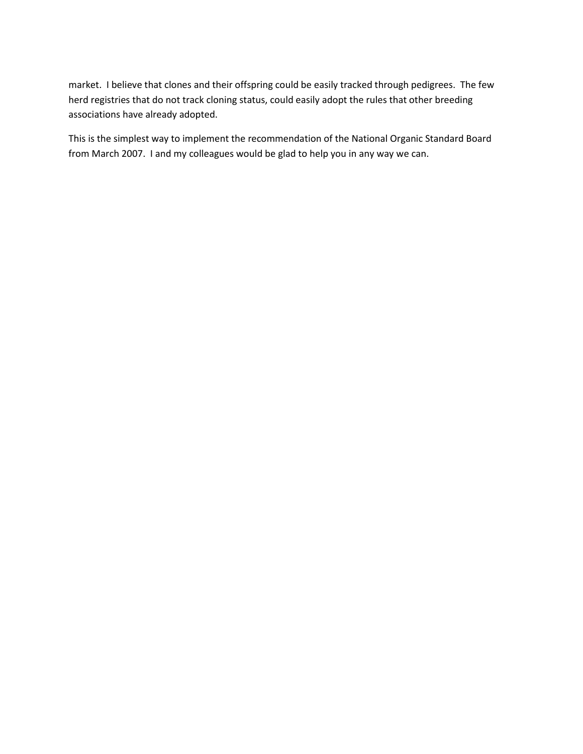market. I believe that clones and their offspring could be easily tracked through pedigrees. The few herd registries that do not track cloning status, could easily adopt the rules that other breeding associations have already adopted.

This is the simplest way to implement the recommendation of the National Organic Standard Board from March 2007. I and my colleagues would be glad to help you in any way we can.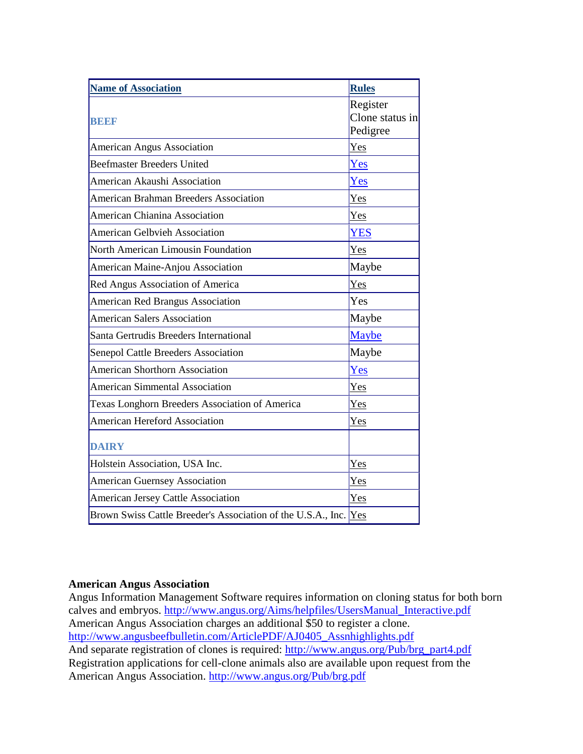| <b>Name of Association</b>                                       | <b>Rules</b>    |
|------------------------------------------------------------------|-----------------|
|                                                                  | Register        |
| <b>BEE</b>                                                       | Clone status in |
|                                                                  | Pedigree        |
| American Angus Association                                       | Yes             |
| <b>Beefmaster Breeders United</b>                                | Yes             |
| American Akaushi Association                                     | Yes             |
| <b>American Brahman Breeders Association</b>                     | Yes             |
| American Chianina Association                                    | Yes             |
| <b>American Gelbvieh Association</b>                             | <b>YES</b>      |
| North American Limousin Foundation                               | Yes             |
| American Maine-Anjou Association                                 | Maybe           |
| Red Angus Association of America                                 | Yes             |
| <b>American Red Brangus Association</b>                          | Yes             |
| <b>American Salers Association</b>                               | Maybe           |
| Santa Gertrudis Breeders International                           | <b>Maybe</b>    |
| Senepol Cattle Breeders Association                              | Maybe           |
| <b>American Shorthorn Association</b>                            | Yes             |
| <b>American Simmental Association</b>                            | Yes             |
| Texas Longhorn Breeders Association of America                   | Yes             |
| <b>American Hereford Association</b>                             | Yes             |
| <b>DAIRY</b>                                                     |                 |
| Holstein Association, USA Inc.                                   | Yes             |
| <b>American Guernsey Association</b>                             | Yes             |
| American Jersey Cattle Association                               | Yes             |
| Brown Swiss Cattle Breeder's Association of the U.S.A., Inc. Yes |                 |

## **American Angus Association**

Angus Information Management Software requires information on cloning status for both born calves and embryos. [http://www.angus.org/Aims/helpfiles/UsersManual\\_Interactive.pdf](http://www.angus.org/Aims/helpfiles/UsersManual_Interactive.pdf) American Angus Association charges an additional \$50 to register a clone. [http://www.angusbeefbulletin.com/ArticlePDF/AJ0405\\_Assnhighlights.pdf](http://www.angusbeefbulletin.com/ArticlePDF/AJ0405_Assnhighlights.pdf) And separate registration of clones is required: [http://www.angus.org/Pub/brg\\_part4.pdf](http://www.angus.org/Pub/brg_part4.pdf) Registration applications for cell-clone animals also are available upon request from the American Angus Association. <http://www.angus.org/Pub/brg.pdf>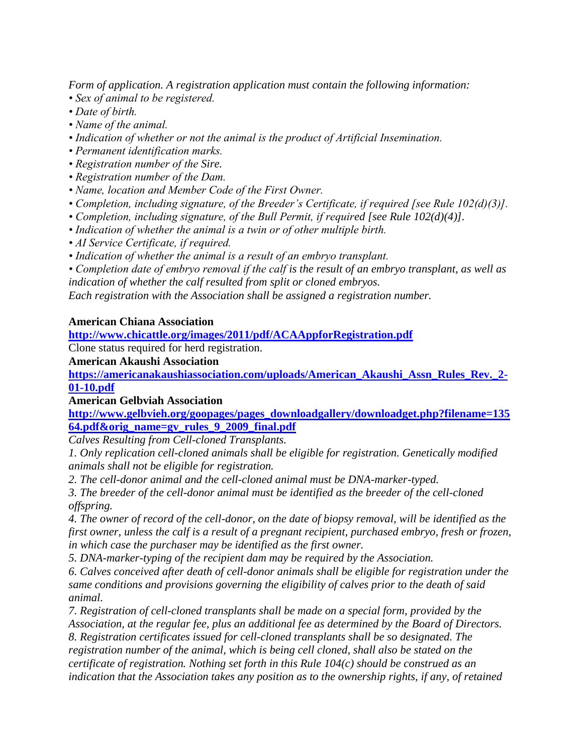*Form of application. A registration application must contain the following information:*

- *Sex of animal to be registered.*
- *Date of birth.*
- *Name of the animal.*
- *Indication of whether or not the animal is the product of Artificial Insemination.*
- *Permanent identification marks.*
- *Registration number of the Sire.*
- *Registration number of the Dam.*
- *Name, location and Member Code of the First Owner.*
- *Completion, including signature, of the Breeder's Certificate, if required [see Rule 102(d)(3)].*
- *Completion, including signature, of the Bull Permit, if required [see Rule 102(d)(4)].*
- *Indication of whether the animal is a twin or of other multiple birth.*
- *AI Service Certificate, if required.*
- *Indication of whether the animal is a result of an embryo transplant.*

*• Completion date of embryo removal if the calf is the result of an embryo transplant, as well as indication of whether the calf resulted from split or cloned embryos.*

*Each registration with the Association shall be assigned a registration number.*

## **American Chiana Association**

**<http://www.chicattle.org/images/2011/pdf/ACAAppforRegistration.pdf>**

Clone status required for herd registration.

**American Akaushi Association**

**[https://americanakaushiassociation.com/uploads/American\\_Akaushi\\_Assn\\_Rules\\_Rev.\\_2-](https://americanakaushiassociation.com/uploads/American_Akaushi_Assn_Rules_Rev._2-01-10.pdf) [01-10.pdf](https://americanakaushiassociation.com/uploads/American_Akaushi_Assn_Rules_Rev._2-01-10.pdf)**

## **American Gelbviah Association**

**[http://www.gelbvieh.org/goopages/pages\\_downloadgallery/downloadget.php?filename=135](http://www.gelbvieh.org/goopages/pages_downloadgallery/downloadget.php?filename=13564.pdf&orig_name=gv_rules_9_2009_final.pdf) [64.pdf&orig\\_name=gv\\_rules\\_9\\_2009\\_final.pdf](http://www.gelbvieh.org/goopages/pages_downloadgallery/downloadget.php?filename=13564.pdf&orig_name=gv_rules_9_2009_final.pdf)**

*Calves Resulting from Cell-cloned Transplants.*

*1. Only replication cell-cloned animals shall be eligible for registration. Genetically modified animals shall not be eligible for registration.*

*2. The cell-donor animal and the cell-cloned animal must be DNA-marker-typed.*

*3. The breeder of the cell-donor animal must be identified as the breeder of the cell-cloned offspring.*

*4. The owner of record of the cell-donor, on the date of biopsy removal, will be identified as the first owner, unless the calf is a result of a pregnant recipient, purchased embryo, fresh or frozen, in which case the purchaser may be identified as the first owner.*

*5. DNA-marker-typing of the recipient dam may be required by the Association.*

*6. Calves conceived after death of cell-donor animals shall be eligible for registration under the same conditions and provisions governing the eligibility of calves prior to the death of said animal.*

*7. Registration of cell-cloned transplants shall be made on a special form, provided by the Association, at the regular fee, plus an additional fee as determined by the Board of Directors.*

*8. Registration certificates issued for cell-cloned transplants shall be so designated. The registration number of the animal, which is being cell cloned, shall also be stated on the certificate of registration. Nothing set forth in this Rule 104(c) should be construed as an indication that the Association takes any position as to the ownership rights, if any, of retained*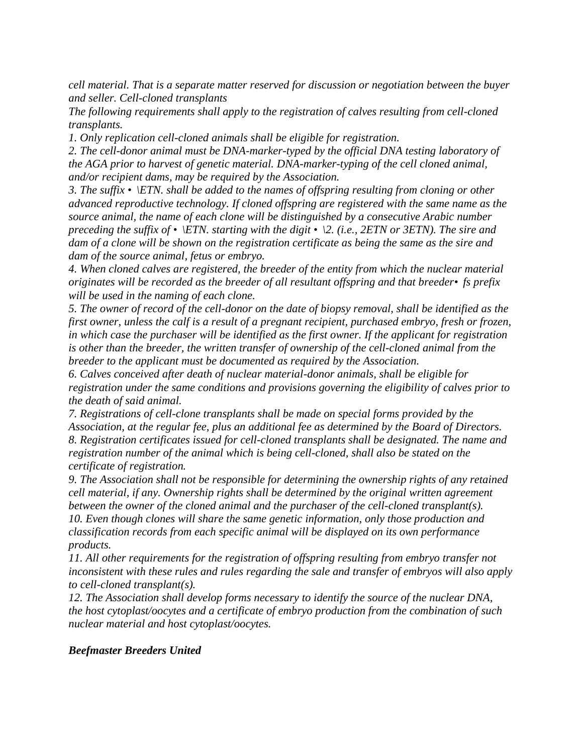*cell material. That is a separate matter reserved for discussion or negotiation between the buyer and seller. Cell-cloned transplants*

*The following requirements shall apply to the registration of calves resulting from cell-cloned transplants.*

*1. Only replication cell-cloned animals shall be eligible for registration.*

*2. The cell-donor animal must be DNA-marker-typed by the official DNA testing laboratory of the AGA prior to harvest of genetic material. DNA-marker-typing of the cell cloned animal, and/or recipient dams, may be required by the Association.*

*3. The suffix •\ETN. shall be added to the names of offspring resulting from cloning or other advanced reproductive technology. If cloned offspring are registered with the same name as the source animal, the name of each clone will be distinguished by a consecutive Arabic number preceding the suffix of •\ETN. starting with the digit •\2. (i.e., 2ETN or 3ETN). The sire and dam of a clone will be shown on the registration certificate as being the same as the sire and dam of the source animal, fetus or embryo.*

*4. When cloned calves are registered, the breeder of the entity from which the nuclear material originates will be recorded as the breeder of all resultant offspring and that breeder•fs prefix will be used in the naming of each clone.*

*5. The owner of record of the cell-donor on the date of biopsy removal, shall be identified as the first owner, unless the calf is a result of a pregnant recipient, purchased embryo, fresh or frozen, in which case the purchaser will be identified as the first owner. If the applicant for registration is other than the breeder, the written transfer of ownership of the cell-cloned animal from the breeder to the applicant must be documented as required by the Association.*

*6. Calves conceived after death of nuclear material-donor animals, shall be eligible for registration under the same conditions and provisions governing the eligibility of calves prior to the death of said animal.*

*7. Registrations of cell-clone transplants shall be made on special forms provided by the Association, at the regular fee, plus an additional fee as determined by the Board of Directors. 8. Registration certificates issued for cell-cloned transplants shall be designated. The name and registration number of the animal which is being cell-cloned, shall also be stated on the certificate of registration.*

*9. The Association shall not be responsible for determining the ownership rights of any retained cell material, if any. Ownership rights shall be determined by the original written agreement between the owner of the cloned animal and the purchaser of the cell-cloned transplant(s). 10. Even though clones will share the same genetic information, only those production and classification records from each specific animal will be displayed on its own performance products.*

*11. All other requirements for the registration of offspring resulting from embryo transfer not inconsistent with these rules and rules regarding the sale and transfer of embryos will also apply to cell-cloned transplant(s).*

*12. The Association shall develop forms necessary to identify the source of the nuclear DNA, the host cytoplast/oocytes and a certificate of embryo production from the combination of such nuclear material and host cytoplast/oocytes.*

## *Beefmaster Breeders United*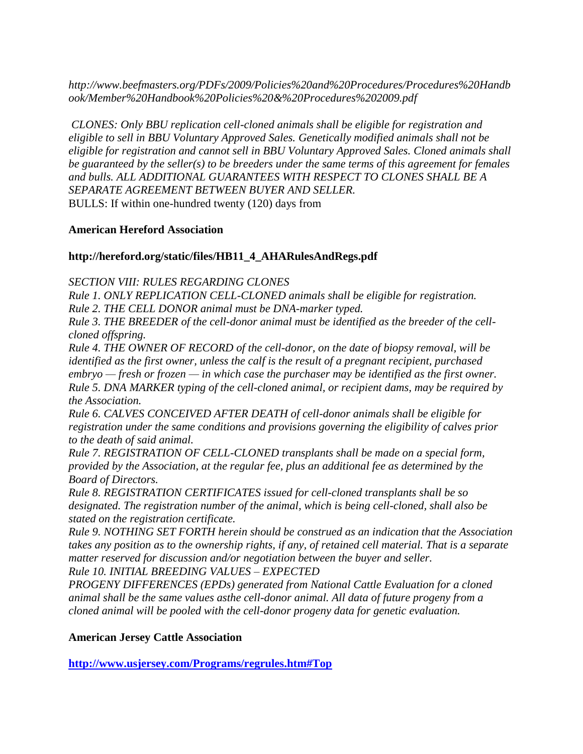*http://www.beefmasters.org/PDFs/2009/Policies%20and%20Procedures/Procedures%20Handb ook/Member%20Handbook%20Policies%20&%20Procedures%202009.pdf*

*CLONES: Only BBU replication cell-cloned animals shall be eligible for registration and eligible to sell in BBU Voluntary Approved Sales. Genetically modified animals shall not be eligible for registration and cannot sell in BBU Voluntary Approved Sales. Cloned animals shall be guaranteed by the seller(s) to be breeders under the same terms of this agreement for females and bulls. ALL ADDITIONAL GUARANTEES WITH RESPECT TO CLONES SHALL BE A SEPARATE AGREEMENT BETWEEN BUYER AND SELLER.* BULLS: If within one-hundred twenty (120) days from

## **American Hereford Association**

## **http://hereford.org/static/files/HB11\_4\_AHARulesAndRegs.pdf**

*SECTION VIII: RULES REGARDING CLONES*

*Rule 1. ONLY REPLICATION CELL-CLONED animals shall be eligible for registration.*

*Rule 2. THE CELL DONOR animal must be DNA-marker typed.*

*Rule 3. THE BREEDER of the cell-donor animal must be identified as the breeder of the cellcloned offspring.*

*Rule 4. THE OWNER OF RECORD of the cell-donor, on the date of biopsy removal, will be identified as the first owner, unless the calf is the result of a pregnant recipient, purchased embryo — fresh or frozen — in which case the purchaser may be identified as the first owner. Rule 5. DNA MARKER typing of the cell-cloned animal, or recipient dams, may be required by the Association.*

*Rule 6. CALVES CONCEIVED AFTER DEATH of cell-donor animals shall be eligible for registration under the same conditions and provisions governing the eligibility of calves prior to the death of said animal.*

*Rule 7. REGISTRATION OF CELL-CLONED transplants shall be made on a special form, provided by the Association, at the regular fee, plus an additional fee as determined by the Board of Directors.*

*Rule 8. REGISTRATION CERTIFICATES issued for cell-cloned transplants shall be so designated. The registration number of the animal, which is being cell-cloned, shall also be stated on the registration certificate.*

*Rule 9. NOTHING SET FORTH herein should be construed as an indication that the Association takes any position as to the ownership rights, if any, of retained cell material. That is a separate matter reserved for discussion and/or negotiation between the buyer and seller.*

*Rule 10. INITIAL BREEDING VALUES – EXPECTED*

*PROGENY DIFFERENCES (EPDs) generated from National Cattle Evaluation for a cloned animal shall be the same values asthe cell-donor animal. All data of future progeny from a cloned animal will be pooled with the cell-donor progeny data for genetic evaluation.*

## **American Jersey Cattle Association**

**<http://www.usjersey.com/Programs/regrules.htm#Top>**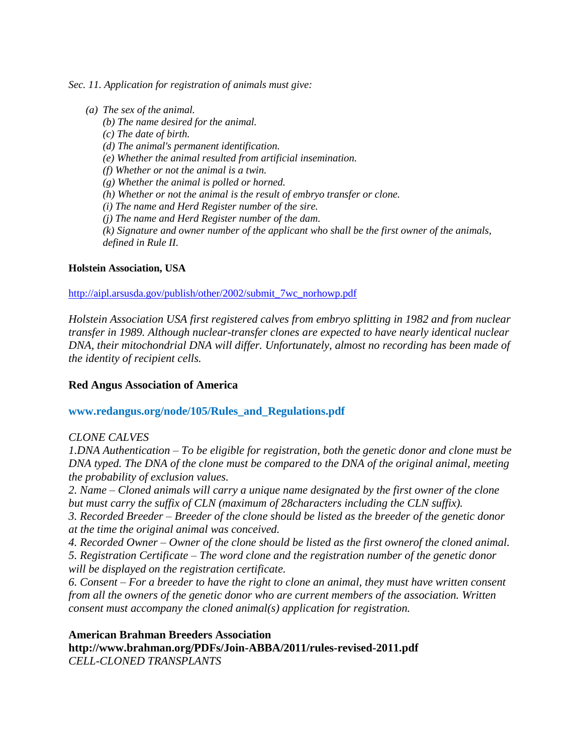*Sec. 11. Application for registration of animals must give:* 

*(a) The sex of the animal. (b) The name desired for the animal. (c) The date of birth. (d) The animal's permanent identification. (e) Whether the animal resulted from artificial insemination. (f) Whether or not the animal is a twin. (g) Whether the animal is polled or horned. (h) Whether or not the animal is the result of embryo transfer or clone. (i) The name and Herd Register number of the sire. (j) The name and Herd Register number of the dam. (k) Signature and owner number of the applicant who shall be the first owner of the animals, defined in Rule II.*

## **Holstein Association, USA**

#### [http://aipl.arsusda.gov/publish/other/2002/submit\\_7wc\\_norhowp.pdf](http://aipl.arsusda.gov/publish/other/2002/submit_7wc_norhowp.pdf)

*Holstein Association USA first registered calves from embryo splitting in 1982 and from nuclear transfer in 1989. Although nuclear-transfer clones are expected to have nearly identical nuclear DNA, their mitochondrial DNA will differ. Unfortunately, almost no recording has been made of the identity of recipient cells.*

## **Red Angus Association of America**

### **www.redangus.org/node/105/Rules\_and\_Regulations.pdf**

#### *CLONE CALVES*

*1.DNA Authentication – To be eligible for registration, both the genetic donor and clone must be DNA typed. The DNA of the clone must be compared to the DNA of the original animal, meeting the probability of exclusion values.*

*2. Name – Cloned animals will carry a unique name designated by the first owner of the clone but must carry the suffix of CLN (maximum of 28characters including the CLN suffix).*

*3. Recorded Breeder – Breeder of the clone should be listed as the breeder of the genetic donor at the time the original animal was conceived.*

*4. Recorded Owner – Owner of the clone should be listed as the first ownerof the cloned animal.*

*5. Registration Certificate – The word clone and the registration number of the genetic donor will be displayed on the registration certificate.*

*6. Consent – For a breeder to have the right to clone an animal, they must have written consent from all the owners of the genetic donor who are current members of the association. Written consent must accompany the cloned animal(s) application for registration.*

#### **American Brahman Breeders Association**

**http://www.brahman.org/PDFs/Join-ABBA/2011/rules-revised-2011.pdf** *CELL-CLONED TRANSPLANTS*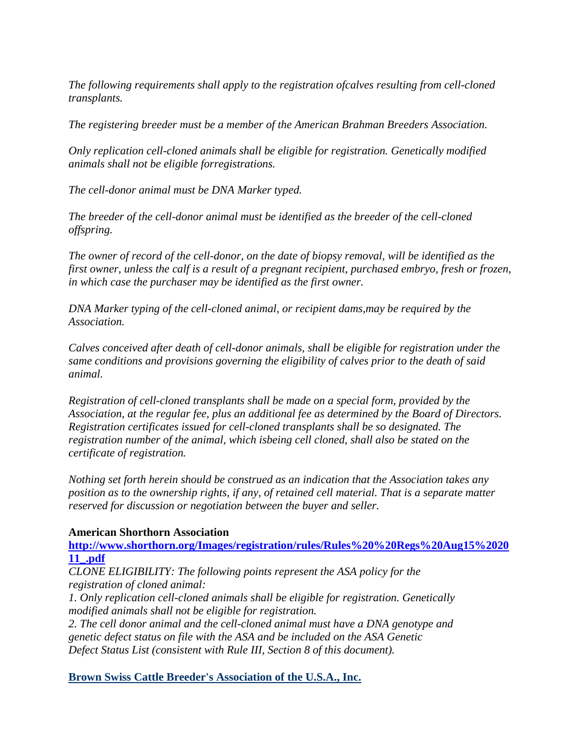*The following requirements shall apply to the registration ofcalves resulting from cell-cloned transplants.*

*The registering breeder must be a member of the American Brahman Breeders Association.*

*Only replication cell-cloned animals shall be eligible for registration. Genetically modified animals shall not be eligible forregistrations.*

*The cell-donor animal must be DNA Marker typed.*

*The breeder of the cell-donor animal must be identified as the breeder of the cell-cloned offspring.*

*The owner of record of the cell-donor, on the date of biopsy removal, will be identified as the first owner, unless the calf is a result of a pregnant recipient, purchased embryo, fresh or frozen, in which case the purchaser may be identified as the first owner.* 

*DNA Marker typing of the cell-cloned animal, or recipient dams,may be required by the Association.* 

*Calves conceived after death of cell-donor animals, shall be eligible for registration under the same conditions and provisions governing the eligibility of calves prior to the death of said animal.*

*Registration of cell-cloned transplants shall be made on a special form, provided by the Association, at the regular fee, plus an additional fee as determined by the Board of Directors. Registration certificates issued for cell-cloned transplants shall be so designated. The registration number of the animal, which isbeing cell cloned, shall also be stated on the certificate of registration.*

*Nothing set forth herein should be construed as an indication that the Association takes any position as to the ownership rights, if any, of retained cell material. That is a separate matter reserved for discussion or negotiation between the buyer and seller.*

## **American Shorthorn Association**

**[http://www.shorthorn.org/Images/registration/rules/Rules%20%20Regs%20Aug15%2020](http://www.shorthorn.org/Images/registration/rules/Rules%20%20Regs%20Aug15%202011_.pdf) [11\\_.pdf](http://www.shorthorn.org/Images/registration/rules/Rules%20%20Regs%20Aug15%202011_.pdf)**

*CLONE ELIGIBILITY: The following points represent the ASA policy for the registration of cloned animal:*

*1. Only replication cell-cloned animals shall be eligible for registration. Genetically modified animals shall not be eligible for registration.*

*2. The cell donor animal and the cell-cloned animal must have a DNA genotype and genetic defect status on file with the ASA and be included on the ASA Genetic Defect Status List (consistent with Rule III, Section 8 of this document).*

**Brown Swiss Cattle Breeder's Association of the U.S.A., Inc.**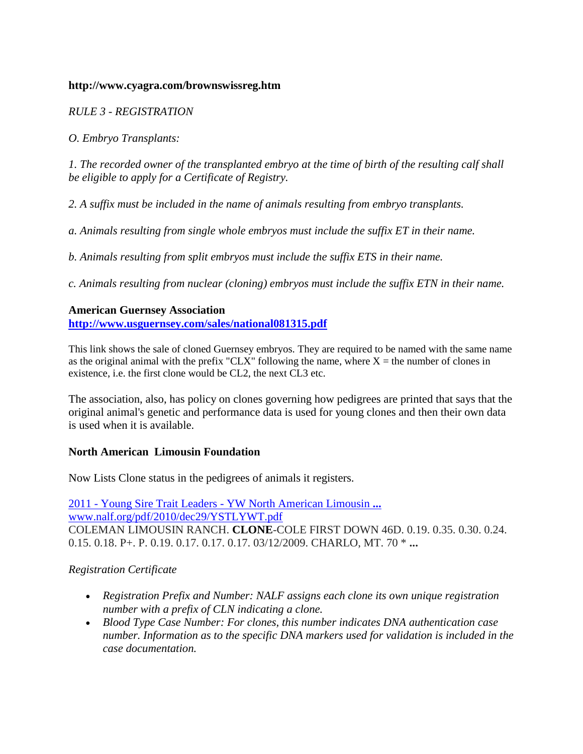### **http://www.cyagra.com/brownswissreg.htm**

*RULE 3 - REGISTRATION*

*O. Embryo Transplants:*

*1. The recorded owner of the transplanted embryo at the time of birth of the resulting calf shall be eligible to apply for a Certificate of Registry.*

*2. A suffix must be included in the name of animals resulting from embryo transplants.*

*a. Animals resulting from single whole embryos must include the suffix ET in their name.*

*b. Animals resulting from split embryos must include the suffix ETS in their name.*

*c. Animals resulting from nuclear (cloning) embryos must include the suffix ETN in their name.*

## **American Guernsey Association**

**<http://www.usguernsey.com/sales/national081315.pdf>**

This link shows the sale of cloned Guernsey embryos. They are required to be named with the same name as the original animal with the prefix "CLX" following the name, where  $X =$  the number of clones in existence, i.e. the first clone would be CL2, the next CL3 etc.

The association, also, has policy on clones governing how pedigrees are printed that says that the original animal's genetic and performance data is used for young clones and then their own data is used when it is available.

## **North American Limousin Foundation**

Now Lists Clone status in the pedigrees of animals it registers.

2011 - Young Sire Trait Leaders - [YW North American Limousin](http://www.nalf.org/pdf/2010/dec29/YSTLYWT.pdf) **...** [www.nalf.org/pdf/2010/dec29/YSTLYWT.pdf](http://www.nalf.org/pdf/2010/dec29/YSTLYWT.pdf) COLEMAN LIMOUSIN RANCH. **CLONE**-COLE FIRST DOWN 46D. 0.19. 0.35. 0.30. 0.24. 0.15. 0.18. P+. P. 0.19. 0.17. 0.17. 0.17. 03/12/2009. CHARLO, MT. 70 \* **...**

## *Registration Certificate*

- *Registration Prefix and Number: NALF assigns each clone its own unique registration number with a prefix of CLN indicating a clone.*
- *Blood Type Case Number: For clones, this number indicates DNA authentication case number. Information as to the specific DNA markers used for validation is included in the case documentation.*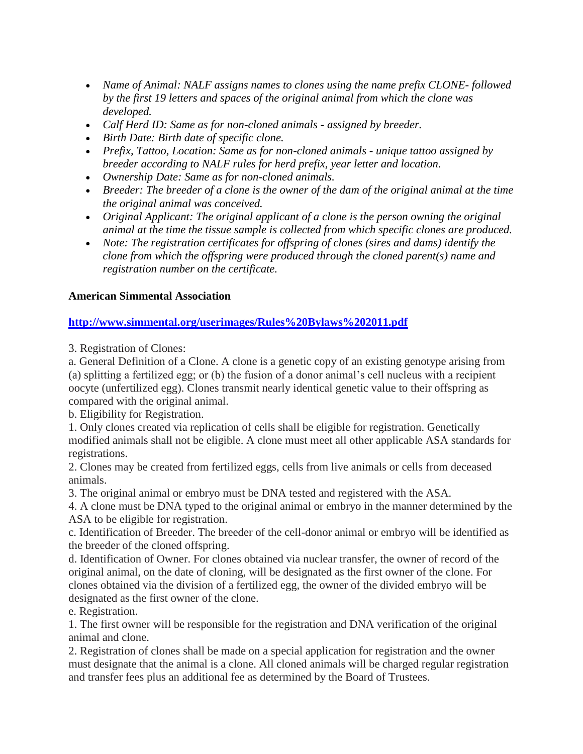- *Name of Animal: NALF assigns names to clones using the name prefix CLONE- followed by the first 19 letters and spaces of the original animal from which the clone was developed.*
- *Calf Herd ID: Same as for non-cloned animals - assigned by breeder.*
- *Birth Date: Birth date of specific clone.*
- *Prefix, Tattoo, Location: Same as for non-cloned animals - unique tattoo assigned by breeder according to NALF rules for herd prefix, year letter and location.*
- *Ownership Date: Same as for non-cloned animals.*
- *Breeder: The breeder of a clone is the owner of the dam of the original animal at the time the original animal was conceived.*
- *Original Applicant: The original applicant of a clone is the person owning the original animal at the time the tissue sample is collected from which specific clones are produced.*
- *Note: The registration certificates for offspring of clones (sires and dams) identify the clone from which the offspring were produced through the cloned parent(s) name and registration number on the certificate.*

## **American Simmental Association**

## **<http://www.simmental.org/userimages/Rules%20Bylaws%202011.pdf>**

3. Registration of Clones:

a. General Definition of a Clone. A clone is a genetic copy of an existing genotype arising from (a) splitting a fertilized egg; or (b) the fusion of a donor animal's cell nucleus with a recipient oocyte (unfertilized egg). Clones transmit nearly identical genetic value to their offspring as compared with the original animal.

b. Eligibility for Registration.

1. Only clones created via replication of cells shall be eligible for registration. Genetically modified animals shall not be eligible. A clone must meet all other applicable ASA standards for registrations.

2. Clones may be created from fertilized eggs, cells from live animals or cells from deceased animals.

3. The original animal or embryo must be DNA tested and registered with the ASA.

4. A clone must be DNA typed to the original animal or embryo in the manner determined by the ASA to be eligible for registration.

c. Identification of Breeder. The breeder of the cell-donor animal or embryo will be identified as the breeder of the cloned offspring.

d. Identification of Owner. For clones obtained via nuclear transfer, the owner of record of the original animal, on the date of cloning, will be designated as the first owner of the clone. For clones obtained via the division of a fertilized egg, the owner of the divided embryo will be designated as the first owner of the clone.

e. Registration.

1. The first owner will be responsible for the registration and DNA verification of the original animal and clone.

2. Registration of clones shall be made on a special application for registration and the owner must designate that the animal is a clone. All cloned animals will be charged regular registration and transfer fees plus an additional fee as determined by the Board of Trustees.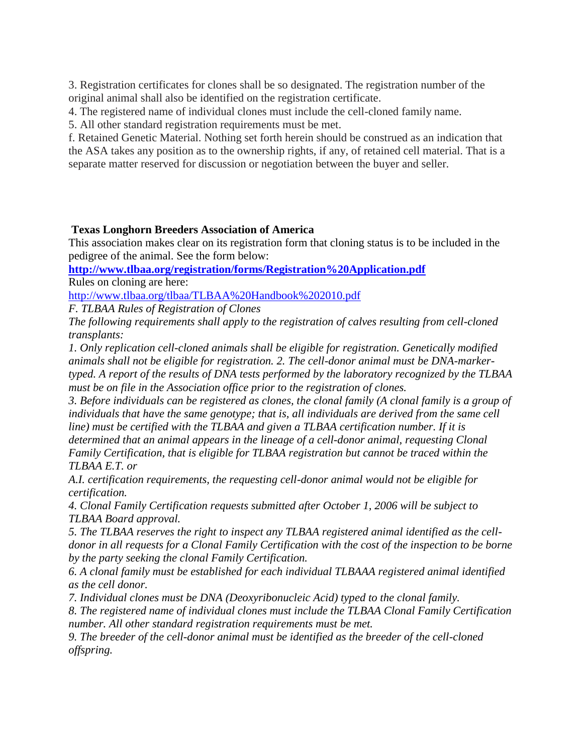3. Registration certificates for clones shall be so designated. The registration number of the original animal shall also be identified on the registration certificate.

4. The registered name of individual clones must include the cell-cloned family name.

5. All other standard registration requirements must be met.

f. Retained Genetic Material. Nothing set forth herein should be construed as an indication that the ASA takes any position as to the ownership rights, if any, of retained cell material. That is a separate matter reserved for discussion or negotiation between the buyer and seller.

## **Texas Longhorn Breeders Association of America**

This association makes clear on its registration form that cloning status is to be included in the pedigree of the animal. See the form below:

**<http://www.tlbaa.org/registration/forms/Registration%20Application.pdf>** Rules on cloning are here:

<http://www.tlbaa.org/tlbaa/TLBAA%20Handbook%202010.pdf>

*F. TLBAA Rules of Registration of Clones*

*The following requirements shall apply to the registration of calves resulting from cell-cloned transplants:*

*1. Only replication cell-cloned animals shall be eligible for registration. Genetically modified animals shall not be eligible for registration. 2. The cell-donor animal must be DNA-markertyped. A report of the results of DNA tests performed by the laboratory recognized by the TLBAA must be on file in the Association office prior to the registration of clones.*

*3. Before individuals can be registered as clones, the clonal family (A clonal family is a group of individuals that have the same genotype; that is, all individuals are derived from the same cell line) must be certified with the TLBAA and given a TLBAA certification number. If it is* 

*determined that an animal appears in the lineage of a cell-donor animal, requesting Clonal Family Certification, that is eligible for TLBAA registration but cannot be traced within the TLBAA E.T. or*

*A.I. certification requirements, the requesting cell-donor animal would not be eligible for certification.*

*4. Clonal Family Certification requests submitted after October 1, 2006 will be subject to TLBAA Board approval.*

*5. The TLBAA reserves the right to inspect any TLBAA registered animal identified as the celldonor in all requests for a Clonal Family Certification with the cost of the inspection to be borne by the party seeking the clonal Family Certification.*

*6. A clonal family must be established for each individual TLBAAA registered animal identified as the cell donor.*

*7. Individual clones must be DNA (Deoxyribonucleic Acid) typed to the clonal family.*

*8. The registered name of individual clones must include the TLBAA Clonal Family Certification number. All other standard registration requirements must be met.*

*9. The breeder of the cell-donor animal must be identified as the breeder of the cell-cloned offspring.*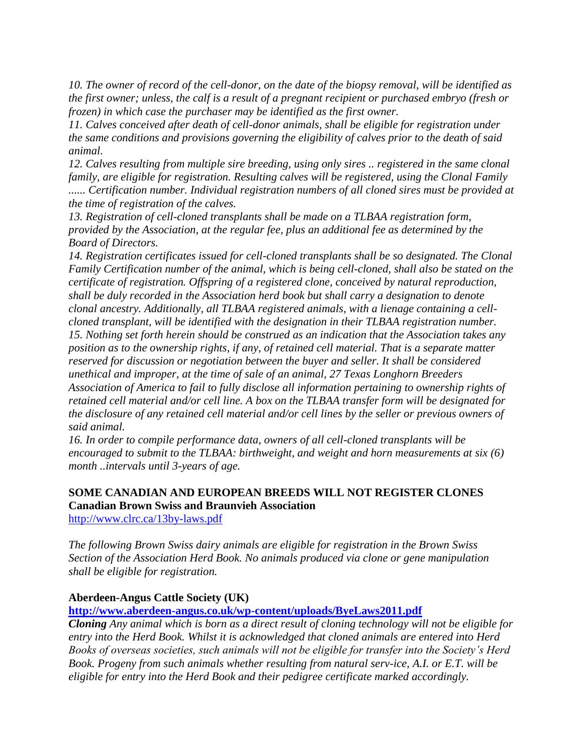*10. The owner of record of the cell-donor, on the date of the biopsy removal, will be identified as the first owner; unless, the calf is a result of a pregnant recipient or purchased embryo (fresh or frozen) in which case the purchaser may be identified as the first owner.*

*11. Calves conceived after death of cell-donor animals, shall be eligible for registration under the same conditions and provisions governing the eligibility of calves prior to the death of said animal.*

*12. Calves resulting from multiple sire breeding, using only sires .. registered in the same clonal family, are eligible for registration. Resulting calves will be registered, using the Clonal Family ...... Certification number. Individual registration numbers of all cloned sires must be provided at the time of registration of the calves.*

*13. Registration of cell-cloned transplants shall be made on a TLBAA registration form, provided by the Association, at the regular fee, plus an additional fee as determined by the Board of Directors.*

*14. Registration certificates issued for cell-cloned transplants shall be so designated. The Clonal Family Certification number of the animal, which is being cell-cloned, shall also be stated on the certificate of registration. Offspring of a registered clone, conceived by natural reproduction, shall be duly recorded in the Association herd book but shall carry a designation to denote clonal ancestry. Additionally, all TLBAA registered animals, with a lienage containing a cellcloned transplant, will be identified with the designation in their TLBAA registration number. 15. Nothing set forth herein should be construed as an indication that the Association takes any position as to the ownership rights, if any, of retained cell material. That is a separate matter reserved for discussion or negotiation between the buyer and seller. It shall be considered unethical and improper, at the time of sale of an animal, 27 Texas Longhorn Breeders Association of America to fail to fully disclose all information pertaining to ownership rights of retained cell material and/or cell line. A box on the TLBAA transfer form will be designated for the disclosure of any retained cell material and/or cell lines by the seller or previous owners of said animal.* 

*16. In order to compile performance data, owners of all cell-cloned transplants will be encouraged to submit to the TLBAA: birthweight, and weight and horn measurements at six (6) month ..intervals until 3-years of age.*

# **SOME CANADIAN AND EUROPEAN BREEDS WILL NOT REGISTER CLONES Canadian Brown Swiss and Braunvieh Association**

<http://www.clrc.ca/13by-laws.pdf>

*The following Brown Swiss dairy animals are eligible for registration in the Brown Swiss Section of the Association Herd Book. No animals produced via clone or gene manipulation shall be eligible for registration.*

## **Aberdeen-Angus Cattle Society (UK)**

## **<http://www.aberdeen-angus.co.uk/wp-content/uploads/ByeLaws2011.pdf>**

*Cloning Any animal which is born as a direct result of cloning technology will not be eligible for entry into the Herd Book. Whilst it is acknowledged that cloned animals are entered into Herd Books of overseas societies, such animals will not be eligible for transfer into the Society's Herd Book. Progeny from such animals whether resulting from natural serv-ice, A.I. or E.T. will be eligible for entry into the Herd Book and their pedigree certificate marked accordingly.*